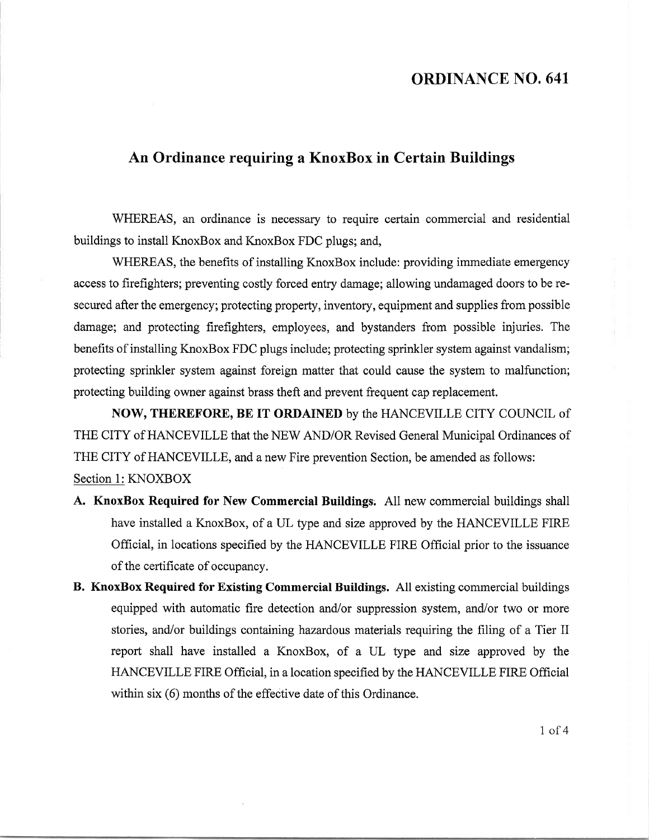## ORDINANCE NO. 641

## An Ordinance requiring a KnoxBox in Certain Buildings

WHEREAS, an ordinance is necessary to require certain commercial and residential buildings to install KnoxBox and KnoxBox FDC plugs; and,

WHEREAS, the benefits of installing KnoxBox include: providing immediate emergency access to firefighters; preventing costly forced entry damage; allowing undamaged doors to be resecured after the emergency; protecting property, inventory, equipment and supplies from possible damage; and protecting firefighters, employees, and bystanders from possible injuries. The benefits of installing KnoxBox FDC plugs include; protecting sprinkler system against vandalism; protecting sprinkler system against foreign matter that could cause the system to malfunction; protecting building owner against brass theft and prevent frequent cap replacement.

NOW, THEREFORE, BE IT ORDAINED by the HANCEVILLE CITY COUNCIL of THE CITY of HANCEVILLE that the NEW AND/OR Revised General Municipal Ordinances of THE CITY of HANCEVILLE, and a new Fire prevention Section, be amended as follows: Section 1: KNOXBOX

- A. KnoxBox Required for New Commercial Buildings: A11 new commercial buildings shall have installed a KnoxBox, of a UL type and size approved by the HANCEVILLE FIRE Official, in locations specified by the HANCEVILLE FIRE Official prior to the issuance of the certificate of occupancy.
- B. KnoxBox Required for Existing Commercial Buildings. A1l existing commercial buildings equipped with automatic fire detection and/or suppression system, and/or two or more stories, and/or buildings containing hazardous materials requiring the filing of a Tier II report shall have installed a KnoxBox, of a UL type and size approved by the HANCEVILLE FIRE Official, in a location specified by the HANCEVILLE FIRE Official within six (6) months of the effective date of this Ordinance.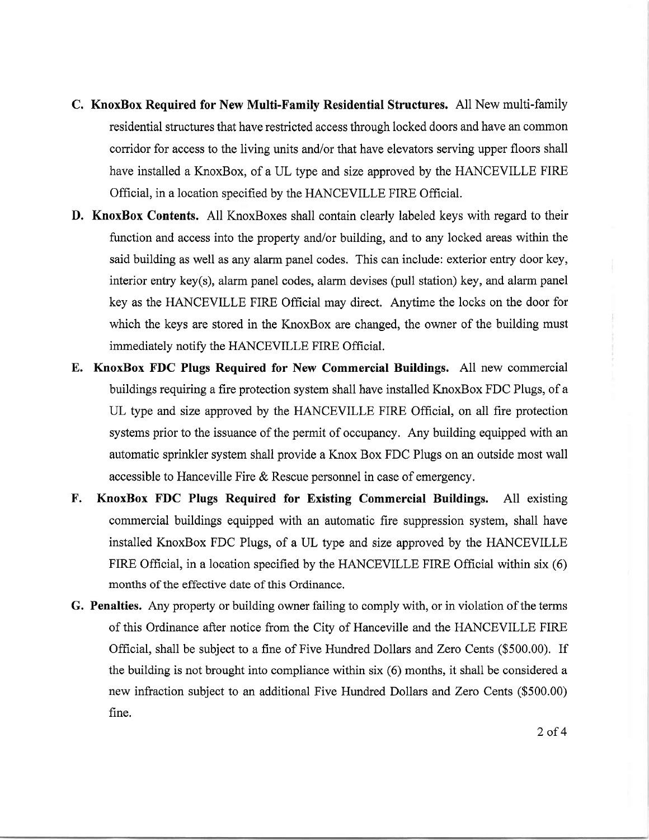- C. KnoxBox Required for New Multi-Family Residential Structures. All New multi-family residential structures that have restricted access through locked doors and have an common corridor for access to the living units and/or that have elevators serving upper floors shall have installed a KnoxBox, of a UL type and size approved by the HANCEVILLE FIRE Official, in a location specified by the HANCEVILLE FIRE Official.
- D. KnoxBox Contents. All KnoxBoxes shall contain clearly labeled keys with regard to their function and access into the property and/or building, and to any locked areas within the said building as well as any alarm panel codes. This can include: exterior entry door key, interior entry key(s), alarm panel codes, alarm devises (pull station) key, and alarm panel key as the HANCEVILLE FIRE Official may direct. Anytime the locks on the door for which the keys are stored in the KnoxBox are changed, the owner of the building must immediately notify the HANCEVILLE FIRE Official.
- E. KnoxBox FDC Plugs Required for New Commercial Buildings. All new commercial buildings requiring a fire protection system shall have installed KnoxBox FDC Plugs, of a UL type and size approved by the HANCEVILLE FIRE Offrcial, on all fire protection systems prior to the issuance of the permit of occupancy. Any building equipped with an automatic sprinkier system shall provide a Knox Box FDC Plugs on an outside most wall accessible to Hanceville Fire & Rescue personnel in case of emergency.
- KnoxBox FDC Plugs Required for Existing Commercial Buildings. All existing commercial buildings equipped with an automatic fire suppression system, shall have installed KnoxBox FDC Plugs, of a UL type and size approved by the HANCEVILLE FIRE Official, in a location specified by the HANCEVILLE FIRE Official within six (6) months of the effective date of this Ordinance. F.
- G. Penalties. Any property or building owner failing to comply with, or in violation of the terms of this Ordinance after notice from the City of Hanceville and the HANCEVILLE FIRE Official, shall be subject to a fine of Five Hundred Dollars and Zero Cents (\$500.00). If the building is not brought into compliance within six (6) months, it shall be considered a new infraction subject to an additional Five Hundred Dollars and Zero Cents (\$500.00) fine.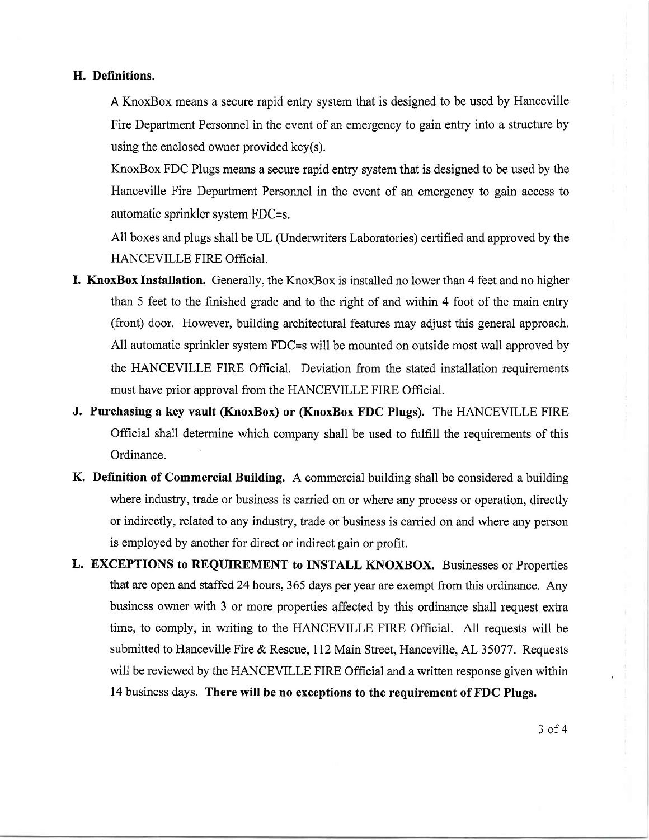## H. Definitions.

A KnoxBox means a secure rapid entry system that is designed to be used by Hanceville Fire Department Personnel in the event of an emergency to gain entry into a structure by using the enclosed owner provided key(s).

KnoxBox FDC Plugs means a secure rapid entry system that is designed to be used by the Hanceville Fire Department Personnel in the event of an emergency to gain access to automatic sprinkler system FDC=s.

All boxes and plugs shall be UL (Underwriters Laboratories) certified and approved by the HANCEVILLE FIRE Official.

- I. KnoxBox Installation. Generally, the KnoxBox is installed no lower than 4 feet and no higher than 5 feet to the finished grade and to the right of and within 4 foot of the main entry (front) door. However, building architectural features may adjust this general approach. All automatic sprinkler system FDC=s will be mounted on outside most wall approved by the HANCEVILLE FIRE Official. Deviation from the stated installation requirements must have prior approval from the HANCEVILLE FIRE Official.
- J. Purchasing a key vault (KnoxBox) or (KnoxBox FDC Plugs). The HANCEVILLE FIRE Official shall determine which company shall be used to fulfill the requirements of this Ordinance.
- K. Definition of Commercial Building. A commercial building shall be considered a building where industry, trade or business is carried on or where any process or operation, directly or indirectly, related to any industry, trade or business is carried on and where any person is employed by another for direct or indirect gain or profit.
- L. EXCEPTIONS to REQUIREMENT to INSTALL KNOXBOX. Businesses or Properties that are open and staffed 24 hours, 365 days per year are exempt from this ordinance. Any business owner with 3 or more properties affected by this ordinance shall request extra time, to comply, in writing to the HANCEVILLE FIRE Official. A11 requests will be submitted to Hanceville Fire & Rescue, 112 Main Street, Hanceville, AL 35077. Requests will be reviewed by the HANCEVILLE FIRE Official and a written response given within 14 business days. There will be no exceptions to the requirement of FDC Plugs.

3 of 4